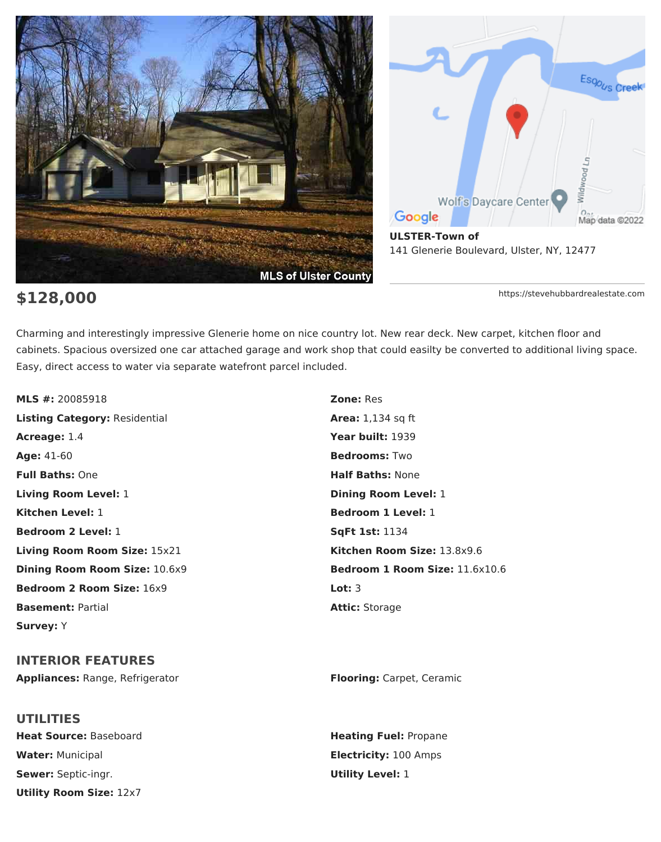

# Esop<sub>us</sub> Creek Wildwood Ln Wolf's Daycare Center Google Map data @2022 **ULSTER-Town of** 141 Glenerie Boulevard, Ulster, NY, 12477

**\$128,000** https://stevehubbardrealestate.com

Charming and interestingly impressive Glenerie home on nice country lot. New rear deck. New carpet, kitchen floor and cabinets. Spacious oversized one car attached garage and work shop that could easilty be converted to additional living space. Easy, direct access to water via separate watefront parcel included.

**MLS #:** 20085918 **Zone:** Res **Listing Category:** Residential **Area:** 1,134 sq ft **Acreage:** 1.4 **Year built:** 1939 **Age:** 41-60 **Bedrooms:** Two **Full Baths:** One **Half Baths:** None **Living Room Level:** 1 **Dining Room Level:** 1 **Kitchen Level:** 1 **Bedroom 1 Level:** 1 **Bedroom 2 Level:** 1 **Sqft 1st:** 1134 **Living Room Room Size:** 15x21 **Kitchen Room Size:** 13.8x9.6 **Bedroom 2 Room Size:** 16x9 **Lot:** 3 **Basement:** Partial **Attic:** Storage **Attic:** Storage **Survey:** Y

**INTERIOR FEATURES Appliances:** Range, Refrigerator **Flooring:** Carpet, Ceramic

**UTILITIES Heat Source:** Baseboard **Heating Fuel:** Propane **Water:** Municipal **Electricity:** 100 Amps **Sewer:** Septic-ingr. **Utility Level:** 1 **Utility Room Size:** 12x7

**Dining Room Room Size:** 10.6x9 **Bedroom 1 Room Size:** 11.6x10.6